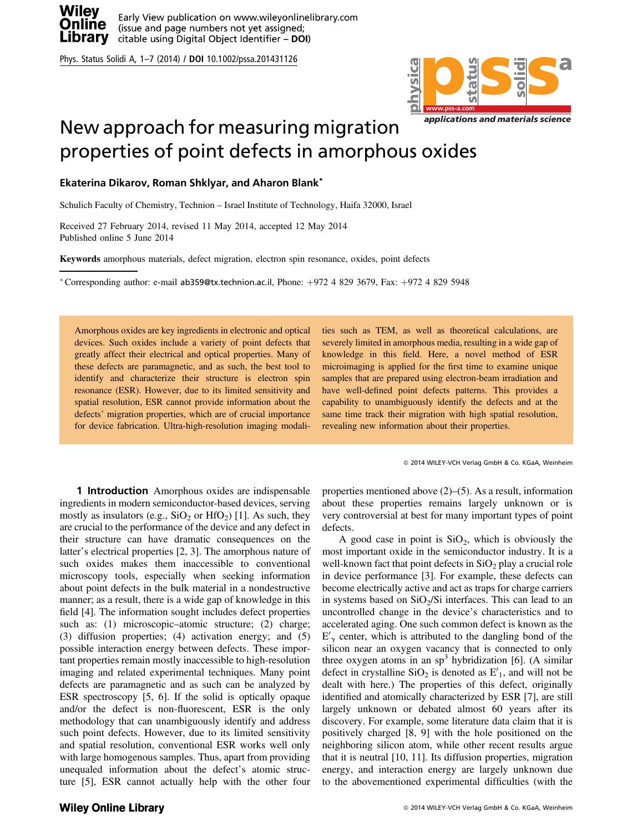

Phys. Status Solidi A, 1–7 (2014) / DOI 10.1002/pssa.201431126



## New approach for measuring migration properties of point defects in amorphous oxides

## Ekaterina Dikarov, Roman Shklyar, and Aharon Blank\*

Schulich Faculty of Chemistry, Technion – Israel Institute of Technology, Haifa 32000, Israel

Received 27 February 2014, revised 11 May 2014, accepted 12 May 2014 Published online 5 June 2014

Keywords amorphous materials, defect migration, electron spin resonance, oxides, point defects

\*Corresponding author: e-mail ab359@tx.technion.ac.il, Phone:  $+972$  4 829 3679, Fax:  $+972$  4 829 5948

Amorphous oxides are key ingredients in electronic and optical devices. Such oxides include a variety of point defects that greatly affect their electrical and optical properties. Many of these defects are paramagnetic, and as such, the best tool to identify and characterize their structure is electron spin resonance (ESR). However, due to its limited sensitivity and spatial resolution, ESR cannot provide information about the defects' migration properties, which are of crucial importance for device fabrication. Ultra-high-resolution imaging modali-

**1 Introduction** Amorphous oxides are indispensable ingredients in modern semiconductor-based devices, serving mostly as insulators (e.g.,  $SiO<sub>2</sub>$  or  $HfO<sub>2</sub>$ ) [1]. As such, they are crucial to the performance of the device and any defect in their structure can have dramatic consequences on the latter's electrical properties [2, 3]. The amorphous nature of such oxides makes them inaccessible to conventional microscopy tools, especially when seeking information about point defects in the bulk material in a nondestructive manner; as a result, there is a wide gap of knowledge in this field [4]. The information sought includes defect properties such as: (1) microscopic–atomic structure; (2) charge; (3) diffusion properties; (4) activation energy; and (5) possible interaction energy between defects. These important properties remain mostly inaccessible to high-resolution imaging and related experimental techniques. Many point defects are paramagnetic and as such can be analyzed by ESR spectroscopy [5, 6]. If the solid is optically opaque and/or the defect is non-fluorescent, ESR is the only methodology that can unambiguously identify and address such point defects. However, due to its limited sensitivity and spatial resolution, conventional ESR works well only with large homogenous samples. Thus, apart from providing unequaled information about the defect's atomic structure [5], ESR cannot actually help with the other four ties such as TEM, as well as theoretical calculations, are severely limited in amorphous media, resulting in a wide gap of knowledge in this field. Here, a novel method of ESR microimaging is applied for the first time to examine unique samples that are prepared using electron-beam irradiation and have well-defined point defects patterns. This provides a capability to unambiguously identify the defects and at the same time track their migration with high spatial resolution, revealing new information about their properties.

2014 WILEY-VCH Verlag GmbH & Co. KGaA, Weinheim

properties mentioned above (2)–(5). As a result, information about these properties remains largely unknown or is very controversial at best for many important types of point defects.

A good case in point is  $SiO<sub>2</sub>$ , which is obviously the most important oxide in the semiconductor industry. It is a well-known fact that point defects in  $SiO<sub>2</sub>$  play a crucial role in device performance [3]. For example, these defects can become electrically active and act as traps for charge carriers in systems based on  $SiO<sub>2</sub>/Si$  interfaces. This can lead to an uncontrolled change in the device's characteristics and to accelerated aging. One such common defect is known as the  $E'_{\gamma}$  center, which is attributed to the dangling bond of the silicon near an oxygen yeconoy that is connected to only silicon near an oxygen vacancy that is connected to only three oxygen atoms in an  $sp<sup>3</sup>$  hybridization [6]. (A similar defect in crystalline  $SiO<sub>2</sub>$  is denoted as  $E'<sub>1</sub>$ , and will not be dealt with here.) The properties of this defect, originally identified and atomically characterized by ESR [7], are still largely unknown or debated almost 60 years after its discovery. For example, some literature data claim that it is positively charged [8, 9] with the hole positioned on the neighboring silicon atom, while other recent results argue that it is neutral [10, 11]. Its diffusion properties, migration energy, and interaction energy are largely unknown due to the abovementioned experimental difficulties (with the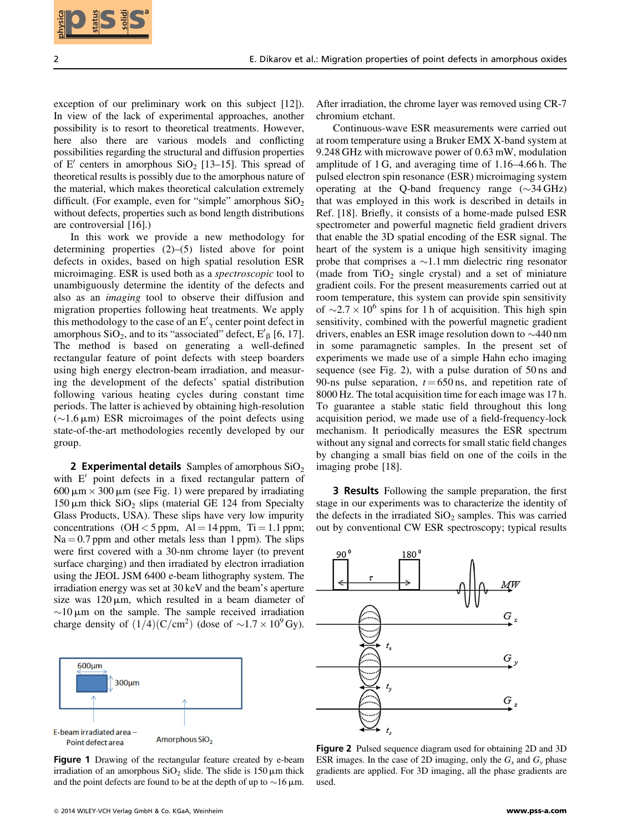

exception of our preliminary work on this subject [12]). In view of the lack of experimental approaches, another possibility is to resort to theoretical treatments. However, here also there are various models and conflicting possibilities regarding the structural and diffusion properties of E' centers in amorphous  $SiO<sub>2</sub>$  [13–15]. This spread of theoretical results is possibly due to the amorphous nature of the material, which makes theoretical calculation extremely difficult. (For example, even for "simple" amorphous  $SiO<sub>2</sub>$ without defects, properties such as bond length distributions are controversial [16].)

In this work we provide a new methodology for determining properties (2)–(5) listed above for point defects in oxides, based on high spatial resolution ESR microimaging. ESR is used both as a spectroscopic tool to unambiguously determine the identity of the defects and also as an imaging tool to observe their diffusion and migration properties following heat treatments. We apply this methodology to the case of an  $E'_{\gamma}$  center point defect in<br>amorphous SiO, and to its "associated" defect  $F'_{\gamma}$  [6, 17] amorphous  $SiO_2$ , and to its "associated" defect,  $E'_{\beta}$  [6, 17]. The method is based on generating a well-defined rectangular feature of point defects with steep boarders using high energy electron-beam irradiation, and measuring the development of the defects' spatial distribution following various heating cycles during constant time periods. The latter is achieved by obtaining high-resolution  $(\sim 1.6 \,\mu\text{m})$  ESR microimages of the point defects using state-of-the-art methodologies recently developed by our state-of-the-art methodologies recently developed by our group.

2 Experimental details Samples of amorphous  $SiO<sub>2</sub>$ with  $E'$  point defects in a fixed rectangular pattern of 600  $\mu$ m  $\times$  300  $\mu$ m (see Fig. 1) were prepared by irradiating  $150 \,\mu\text{m}$  thick  $SiO<sub>2</sub>$  slips (material GE 124 from Specialty Glass Products, USA). These slips have very low impurity concentrations (OH  $<$  5 ppm, Al = 14 ppm, Ti = 1.1 ppm;  $Na = 0.7$  ppm and other metals less than 1 ppm). The slips were first covered with a 30-nm chrome layer (to prevent surface charging) and then irradiated by electron irradiation using the JEOL JSM 6400 e-beam lithography system. The irradiation energy was set at 30 keV and the beam's aperture size was  $120 \mu m$ , which resulted in a beam diameter of ~10  $\mu$ m on the sample. The sample received irradiation<br>charge density of  $(1/4)(C/cm^2)$  (dose of ~1.7 × 10<sup>9</sup> Gy) charge density of  $(1/4)(C/cm^2)$  (dose of  $\sim 1.7 \times 10^9$  Gy).



Figure 1 Drawing of the rectangular feature created by e-beam irradiation of an amorphous  $SiO<sub>2</sub>$  slide. The slide is 150  $\mu$ m thick and the point defects are found to be at the depth of up to  $\sim$  16  $\mu$ m.

After irradiation, the chrome layer was removed using CR-7 chromium etchant.

Continuous-wave ESR measurements were carried out at room temperature using a Bruker EMX X-band system at 9.248 GHz with microwave power of 0.63 mW, modulation amplitude of 1 G, and averaging time of 1.16–4.66 h. The pulsed electron spin resonance (ESR) microimaging system operating at the Q-band frequency range  $(\sim)34 \text{ GHz}$ that was employed in this work is described in details in Ref. [18]. Briefly, it consists of a home-made pulsed ESR spectrometer and powerful magnetic field gradient drivers that enable the 3D spatial encoding of the ESR signal. The heart of the system is a unique high sensitivity imaging probe that comprises  $a \sim 1.1$  mm dielectric ring resonator (made from  $TiO<sub>2</sub>$  single crystal) and a set of miniature gradient coils. For the present measurements carried out at room temperature, this system can provide spin sensitivity of  $\sim$  2.7  $\times$  10<sup>6</sup> spins for 1 h of acquisition. This high spin sensitivity, combined with the powerful magnetic gradient drivers, enables an ESR image resolution down to  $\sim$ 440 nm in some paramagnetic samples. In the present set of experiments we made use of a simple Hahn echo imaging sequence (see Fig. 2), with a pulse duration of 50 ns and 90-ns pulse separation,  $t = 650$  ns, and repetition rate of 8000 Hz. The total acquisition time for each image was 17 h. To guarantee a stable static field throughout this long acquisition period, we made use of a field-frequency-lock mechanism. It periodically measures the ESR spectrum without any signal and corrects for small static field changes by changing a small bias field on one of the coils in the imaging probe [18]. **EXECUTE:** These order Mayoline properties of point distribution in the system of the control of the control of the control of the control of the control of the control of the control of the control of the control of the

3 Results Following the sample preparation, the first stage in our experiments was to characterize the identity of the defects in the irradiated  $SiO<sub>2</sub>$  samples. This was carried out by conventional CW ESR spectroscopy; typical results



Figure 2 Pulsed sequence diagram used for obtaining 2D and 3D ESR images. In the case of 2D imaging, only the  $G<sub>x</sub>$  and  $G<sub>y</sub>$  phase gradients are applied. For 3D imaging, all the phase gradients are used.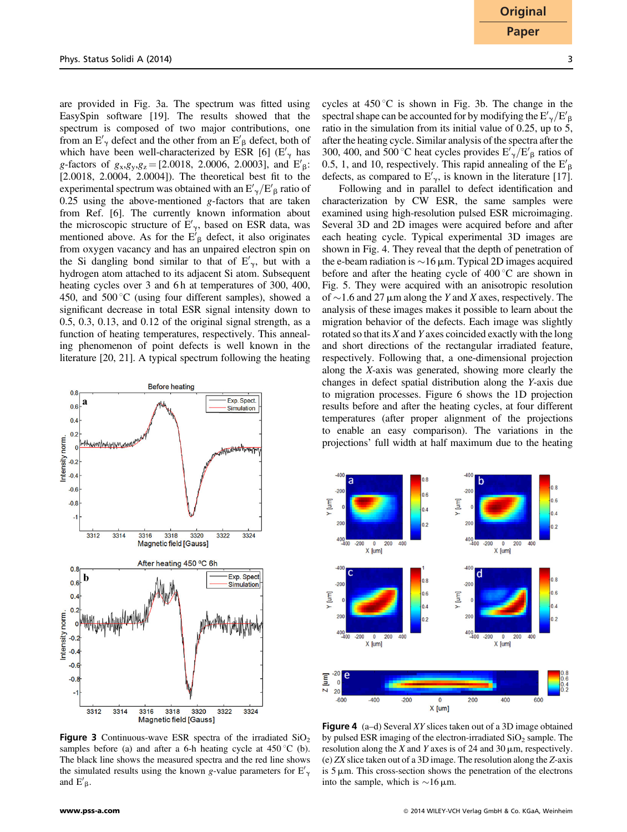are provided in Fig. 3a. The spectrum was fitted using EasySpin software [19]. The results showed that the spectrum is composed of two major contributions, one from an  $E'_{\gamma}$  defect and the other from an  $E'_{\beta}$  defect, both of<br>which have been well characterized by ESP [6] (E' has which have been well-characterized by ESR [6]  $(E'_\gamma)$  has g-factors of  $g_x, g_y, g_z = [2.0018, 2.0006, 2.0003]$ , and  $E'_{\beta}$ :<br>[2.0018, 2.0004, 2.0004]). The theoratical best fit to the [2.0018, 2.0004, 2.0004]). The theoretical best fit to the experimental spectrum was obtained with an  $E'_\gamma/E'_\beta$  ratio of  $0.25$  using the above-mentioned g-factors that are taken from Ref. [6]. The currently known information about the microscopic structure of  $E'_{\gamma}$ , based on ESR data, was<br>mentioned above. As for the  $E'_{\beta}$  defect, it also originates<br>from oxygen yoganoy and has an unnaired electron on a on from oxygen vacancy and has an unpaired electron spin on the Si dangling bond similar to that of  $E'_{\gamma}$ , but with a<br>budroson stom streshed to its ediscont Si stom. Subsequent hydrogen atom attached to its adjacent Si atom. Subsequent heating cycles over 3 and 6 h at temperatures of 300, 400, 450, and 500 $\degree$ C (using four different samples), showed a significant decrease in total ESR signal intensity down to 0.5, 0.3, 0.13, and 0.12 of the original signal strength, as a function of heating temperatures, respectively. This annealing phenomenon of point defects is well known in the literature [20, 21]. A typical spectrum following the heating



**Figure 3** Continuous-wave ESR spectra of the irradiated  $SiO<sub>2</sub>$ samples before (a) and after a 6-h heating cycle at  $450^{\circ}$ C (b). The black line shows the measured spectra and the red line shows the simulated results using the known g-value parameters for  $E'_{\infty}$ g and  $E'_{\beta}$ .

cycles at  $450^{\circ}$ C is shown in Fig. 3b. The change in the spectral shape can be accounted for by modifying the  $E'_{\gamma}/E'$ <br>ratio in the simulation from its initial value of 0.25, up to inratio in the simulation from its initial value of  $0.25$ , up to  $5$ , after the heating cycle. Similar analysis of the spectra after the 300, 400, and 500 °C heat cycles provides  $E'_{\gamma}/E'_{\beta}$  ratios of 0.5, 1, and 10, respectively. This rapid appealing of the  $E'$ 0.5, 1, and 10, respectively. This rapid annealing of the  $E'_{\beta}$ defects, as compared to  $E'_{\gamma}$ , is known in the literature [17].<br>
Exploring and in parallel to defect identification and

Following and in parallel to defect identification and characterization by CW ESR, the same samples were examined using high-resolution pulsed ESR microimaging. Several 3D and 2D images were acquired before and after each heating cycle. Typical experimental 3D images are shown in Fig. 4. They reveal that the depth of penetration of the e-beam radiation is  $\sim$  16  $\mu$ m. Typical 2D images acquired<br>before and after the beating cycle of 400 °C are shown in before and after the heating cycle of  $400^{\circ}$ C are shown in Fig. 5. They were acquired with an anisotropic resolution of  $\sim$  1.6 and 27  $\mu$ m along the Y and X axes, respectively. The analysis of these images makes it possible to learn about the analysis of these images makes it possible to learn about the migration behavior of the defects. Each image was slightly rotated so that its X and Y axes coincided exactly with the long and short directions of the rectangular irradiated feature, respectively. Following that, a one-dimensional projection along the X-axis was generated, showing more clearly the changes in defect spatial distribution along the Y-axis due to migration processes. Figure 6 shows the 1D projection results before and after the heating cycles, at four different temperatures (after proper alignment of the projections to enable an easy comparison). The variations in the projections' full width at half maximum due to the heating



Figure 4 (a–d) Several XY slices taken out of a 3D image obtained by pulsed ESR imaging of the electron-irradiated  $SiO<sub>2</sub>$  sample. The resolution along the X and Y axes is of 24 and 30  $\mu$ m, respectively. (e) ZX slice taken out of a 3D image. The resolution along the Z-axis is  $5 \mu$ m. This cross-section shows the penetration of the electrons into the sample, which is  $\sim$ 16  $\mu$ m.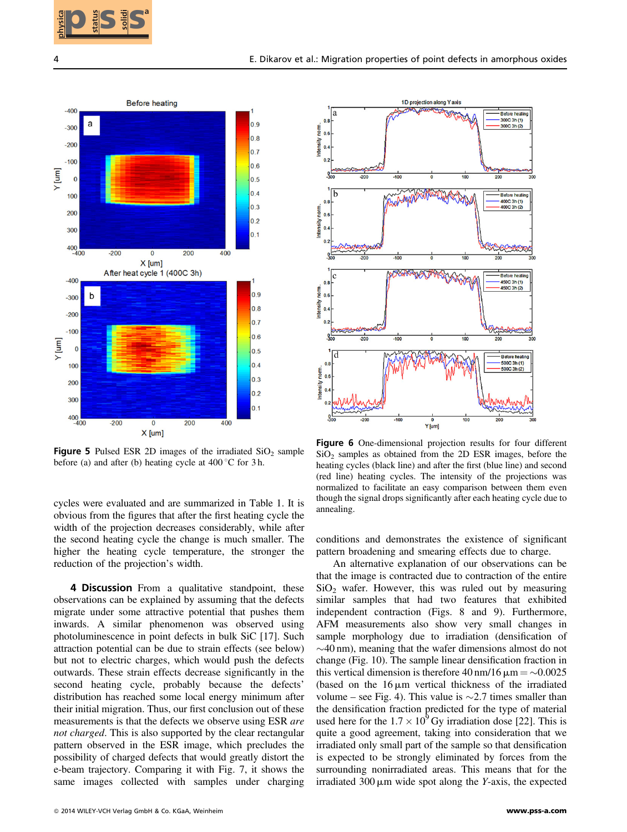



**Figure 5** Pulsed ESR 2D images of the irradiated  $SiO<sub>2</sub>$  sample before (a) and after (b) heating cycle at  $400^{\circ}$ C for 3 h.

cycles were evaluated and are summarized in Table 1. It is obvious from the figures that after the first heating cycle the width of the projection decreases considerably, while after the second heating cycle the change is much smaller. The higher the heating cycle temperature, the stronger the reduction of the projection's width.

4 Discussion From a qualitative standpoint, these observations can be explained by assuming that the defects migrate under some attractive potential that pushes them inwards. A similar phenomenon was observed using photoluminescence in point defects in bulk SiC [17]. Such attraction potential can be due to strain effects (see below) but not to electric charges, which would push the defects outwards. These strain effects decrease significantly in the second heating cycle, probably because the defects' distribution has reached some local energy minimum after their initial migration. Thus, our first conclusion out of these measurements is that the defects we observe using ESR are not charged. This is also supported by the clear rectangular pattern observed in the ESR image, which precludes the possibility of charged defects that would greatly distort the e-beam trajectory. Comparing it with Fig. 7, it shows the same images collected with samples under charging



Figure 6 One-dimensional projection results for four different  $SiO<sub>2</sub>$  samples as obtained from the 2D ESR images, before the heating cycles (black line) and after the first (blue line) and second (red line) heating cycles. The intensity of the projections was normalized to facilitate an easy comparison between them even though the signal drops significantly after each heating cycle due to annealing.

conditions and demonstrates the existence of significant pattern broadening and smearing effects due to charge.

An alternative explanation of our observations can be that the image is contracted due to contraction of the entire  $SiO<sub>2</sub>$  wafer. However, this was ruled out by measuring similar samples that had two features that exhibited independent contraction (Figs. 8 and 9). Furthermore, AFM measurements also show very small changes in sample morphology due to irradiation (densification of  $\sim$ 40 nm), meaning that the wafer dimensions almost do not change (Fig. 10). The sample linear densification fraction in this vertical dimension is therefore  $40 \text{ nm}/16 \mu \text{m} = \sim 0.0025$ <br>(based on the 16 um vertical thickness of the irradiated (based on the  $16 \mu m$  vertical thickness of the irradiated volume – see Fig. 4). This value is  $\sim$  2.7 times smaller than the densification fraction predicted for the type of material used here for the  $1.7 \times 10^9$  Gy irradiation dose [22]. This is quite a good agreement, taking into consideration that we irradiated only small part of the sample so that densification is expected to be strongly eliminated by forces from the surrounding nonirradiated areas. This means that for the irradiated  $300 \mu m$  wide spot along the Y-axis, the expected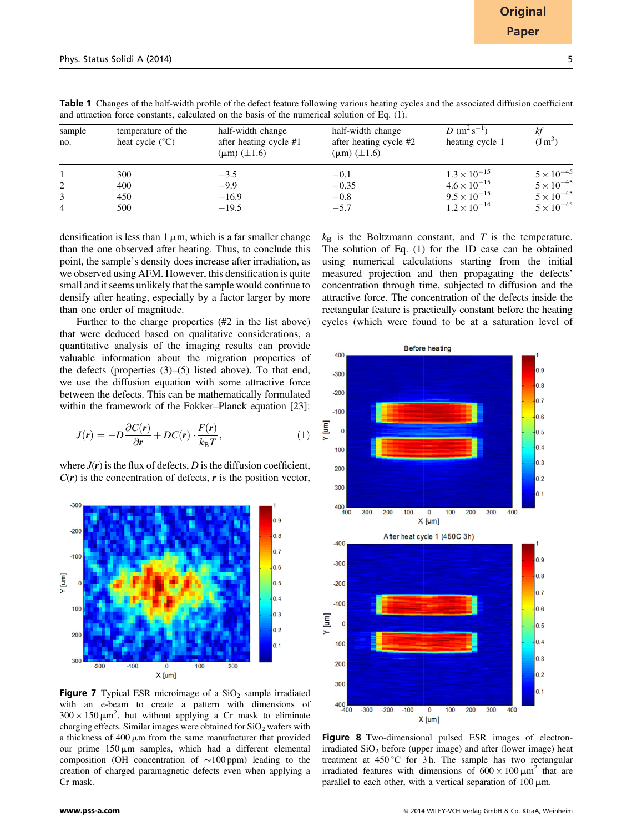| sample<br>no. | temperature of the<br>heat cycle $(^{\circ}C)$ | half-width change<br>after heating cycle #1<br>$(\mu m)$ ( $\pm 1.6$ ) | half-width change<br>after heating cycle #2<br>$(\mu m)$ ( $\pm 1.6$ ) | $D(m^2s^{-1})$<br>heating cycle 1 | ΚŢ<br>$(J m^3)$     |
|---------------|------------------------------------------------|------------------------------------------------------------------------|------------------------------------------------------------------------|-----------------------------------|---------------------|
|               | 300                                            | $-3.5$                                                                 | $-0.1$                                                                 | $1.3 \times 10^{-15}$             | $5 \times 10^{-45}$ |
|               | 400                                            | $-9.9$                                                                 | $-0.35$                                                                | $4.6 \times 10^{-15}$             | $5 \times 10^{-45}$ |
|               | 450                                            | $-16.9$                                                                | $-0.8$                                                                 | $9.5 \times 10^{-15}$             | $5 \times 10^{-45}$ |
| 4             | 500                                            | $-19.5$                                                                | $-5.7$                                                                 | $1.2 \times 10^{-14}$             | $5 \times 10^{-45}$ |
|               |                                                |                                                                        |                                                                        |                                   |                     |

Table 1 Changes of the half-width profile of the defect feature following various heating cycles and the associated diffusion coefficient and attraction force constants, calculated on the basis of the numerical solution of Eq. (1).

densification is less than  $1 \mu m$ , which is a far smaller change than the one observed after heating. Thus, to conclude this point, the sample's density does increase after irradiation, as we observed using AFM. However, this densification is quite small and it seems unlikely that the sample would continue to densify after heating, especially by a factor larger by more than one order of magnitude.

Further to the charge properties (#2 in the list above) that were deduced based on qualitative considerations, a quantitative analysis of the imaging results can provide valuable information about the migration properties of the defects (properties (3)–(5) listed above). To that end, we use the diffusion equation with some attractive force between the defects. This can be mathematically formulated within the framework of the Fokker–Planck equation [23]:

$$
J(r) = -D\frac{\partial C(r)}{\partial r} + DC(r) \cdot \frac{F(r)}{k_B T},
$$
\n(1)

where  $J(r)$  is the flux of defects, D is the diffusion coefficient,  $C(r)$  is the concentration of defects, r is the position vector,



**Figure 7** Typical ESR microimage of a  $SiO<sub>2</sub>$  sample irradiated with an e-beam to create a pattern with dimensions of  $300 \times 150 \,\mathrm{\upmu m}^2$ , but without applying a Cr mask to eliminate<br>charging effects. Similar images were obtained for SiO<sub>2</sub> wafers with charging effects. Similar images were obtained for SiO<sub>2</sub> wafers with a thickness of  $400 \mu m$  from the same manufacturer that provided our prime  $150 \mu m$  samples, which had a different elemental composition (OH concentration of  $\sim$ 100 ppm) leading to the creation of charged paramagnetic defects even when applying a Cr mask.

 $k_B$  is the Boltzmann constant, and T is the temperature. The solution of Eq. (1) for the 1D case can be obtained using numerical calculations starting from the initial measured projection and then propagating the defects' concentration through time, subjected to diffusion and the attractive force. The concentration of the defects inside the rectangular feature is practically constant before the heating cycles (which were found to be at a saturation level of



Figure 8 Two-dimensional pulsed ESR images of electronirradiated  $SiO<sub>2</sub>$  before (upper image) and after (lower image) heat treatment at  $450^{\circ}$ C for 3 h. The sample has two rectangular irradiated features with dimensions of  $600 \times 100 \mu m^2$  that are parallel to each other, with a vertical separation of  $100 \mu m$ .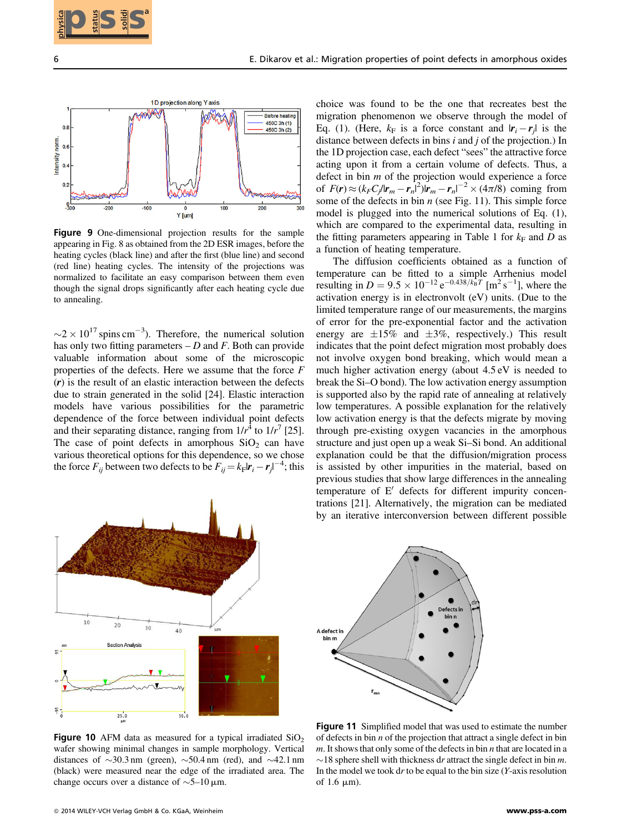



Figure 9 One-dimensional projection results for the sample appearing in Fig. 8 as obtained from the 2D ESR images, before the heating cycles (black line) and after the first (blue line) and second (red line) heating cycles. The intensity of the projections was normalized to facilitate an easy comparison between them even though the signal drops significantly after each heating cycle due to annealing.

 $\sim$  2  $\times$  10<sup>17</sup> spins cm<sup>-3</sup>). Therefore, the numerical solution has only two fitting parameters  $-D$  and F. Both can provide valuable information about some of the microscopic properties of the defects. Here we assume that the force F (r) is the result of an elastic interaction between the defects due to strain generated in the solid [24]. Elastic interaction models have various possibilities for the parametric dependence of the force between individual point defects and their separating distance, ranging from  $1/r<sup>4</sup>$  to  $1/r<sup>7</sup>$  [25]. The case of point defects in amorphous  $SiO<sub>2</sub>$  can have various theoretical options for this dependence, so we chose the force  $F_{ij}$  between two defects to be  $F_{ij} = k_F|r_i - r_j|^{-4}$ ; this

choice was found to be the one that recreates best the migration phenomenon we observe through the model of Eq. (1). (Here,  $k_F$  is a force constant and  $|r_i - r_j|$  is the distance between defects in bins  $i$  and  $j$  of the projection.) In the 1D projection case, each defect "sees" the attractive force acting upon it from a certain volume of defects. Thus, a defect in bin  $m$  of the projection would experience a force of  $F(r) \approx (k_F C_j / |r_m - r_n|^2) |r_m - r_n|^{-2} \times (4\pi/8)$  coming from some of the defects in bin  $n$  (see Fig. 11). This simple force model is plugged into the numerical solutions of Eq. (1), which are compared to the experimental data, resulting in the fitting parameters appearing in Table 1 for  $k_F$  and D as a function of heating temperature.

The diffusion coefficients obtained as a function of temperature can be fitted to a simple Arrhenius model resulting in  $D = 9.5 \times 10^{-12} e^{-0.438/k_B T} [m^2 s^{-1}]$ , where the activation energy is in electronvolt (eV) units. (Due to the limited temperature range of our measurements, the margins of error for the pre-exponential factor and the activation energy are  $\pm 15\%$  and  $\pm 3\%$ , respectively.) This result indicates that the point defect migration most probably does not involve oxygen bond breaking, which would mean a much higher activation energy (about 4.5 eV is needed to break the Si–O bond). The low activation energy assumption is supported also by the rapid rate of annealing at relatively low temperatures. A possible explanation for the relatively low activation energy is that the defects migrate by moving through pre-existing oxygen vacancies in the amorphous structure and just open up a weak Si–Si bond. An additional explanation could be that the diffusion/migration process is assisted by other impurities in the material, based on previous studies that show large differences in the annealing temperature of  $E'$  defects for different impurity concentrations [21]. Alternatively, the migration can be mediated by an iterative interconversion between different possible **2015 SISS**<br>
2. Collective et al. May den properties of priority interesting the collection of the status of the status of the status of the status of the status of the status of the status of the status of the status of



**Figure 10** AFM data as measured for a typical irradiated  $SiO<sub>2</sub>$ wafer showing minimal changes in sample morphology. Vertical distances of  $\sim$ 30.3 nm (green),  $\sim$ 50.4 nm (red), and  $\sim$ 42.1 nm (black) were measured near the edge of the irradiated area. The change occurs over a distance of  $\sim$ 5–10  $\mu$ m.

Figure 11 Simplified model that was used to estimate the number of defects in bin  $n$  of the projection that attract a single defect in bin  $m$ . It shows that only some of the defects in bin  $n$  that are located in a  $\sim$  18 sphere shell with thickness dr attract the single defect in bin m. In the model we took  $dr$  to be equal to the bin size  $(Y$ -axis resolution of 1.6  $\mu$ m).